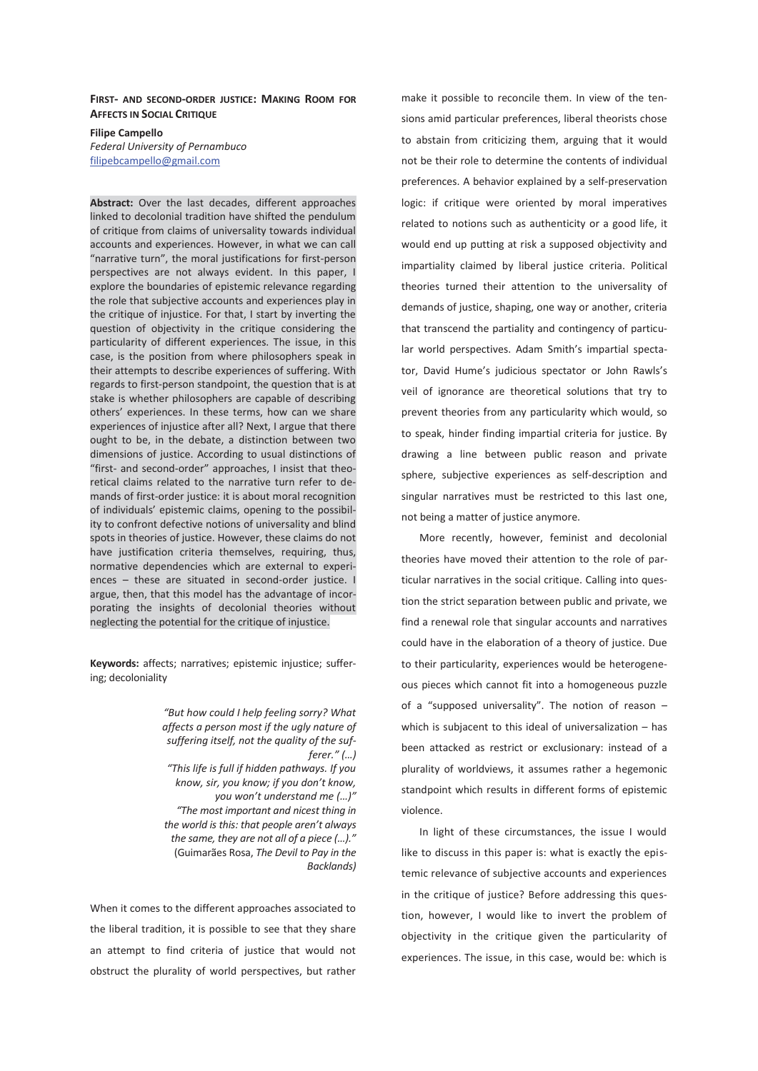## **FIRST- AND SECOND-ORDER JUSTICE: MAKING ROOM FOR AFFECTS IN SOCIAL CRITIQUE**

**Filipe Campello**  *Federal University of Pernambuco* filipebcampello@gmail.com

**Abstract:** Over the last decades, different approaches linked to decolonial tradition have shifted the pendulum of critique from claims of universality towards individual accounts and experiences. However, in what we can call "narrative turn", the moral justifications for first-person perspectives are not always evident. In this paper, I explore the boundaries of epistemic relevance regarding the role that subjective accounts and experiences play in the critique of injustice. For that, I start by inverting the question of objectivity in the critique considering the particularity of different experiences. The issue, in this case, is the position from where philosophers speak in their attempts to describe experiences of suffering. With regards to first-person standpoint, the question that is at stake is whether philosophers are capable of describing others' experiences. In these terms, how can we share experiences of injustice after all? Next, I argue that there ought to be, in the debate, a distinction between two dimensions of justice. According to usual distinctions of "first- and second-order" approaches, I insist that theoretical claims related to the narrative turn refer to demands of first-order justice: it is about moral recognition of individuals' epistemic claims, opening to the possibility to confront defective notions of universality and blind spots in theories of justice. However, these claims do not have justification criteria themselves, requiring, thus, normative dependencies which are external to experiences – these are situated in second-order justice. I argue, then, that this model has the advantage of incorporating the insights of decolonial theories without neglecting the potential for the critique of injustice.

**Keywords:** affects; narratives; epistemic injustice; suffering; decoloniality

> *"But how could I help feeling sorry? What affects a person most if the ugly nature of suffering itself, not the quality of the sufferer." (…) "This life is full if hidden pathways. If you know, sir, you know; if you don't know, you won't understand me (…)" "The most important and nicest thing in the world is this: that people aren't always the same, they are not all of a piece (…)."*  (Guimarães Rosa, *The Devil to Pay in the Backlands)*

When it comes to the different approaches associated to the liberal tradition, it is possible to see that they share an attempt to find criteria of justice that would not obstruct the plurality of world perspectives, but rather

make it possible to reconcile them. In view of the tensions amid particular preferences, liberal theorists chose to abstain from criticizing them, arguing that it would not be their role to determine the contents of individual preferences. A behavior explained by a self-preservation logic: if critique were oriented by moral imperatives related to notions such as authenticity or a good life, it would end up putting at risk a supposed objectivity and impartiality claimed by liberal justice criteria. Political theories turned their attention to the universality of demands of justice, shaping, one way or another, criteria that transcend the partiality and contingency of particular world perspectives. Adam Smith's impartial spectator, David Hume's judicious spectator or John Rawls's veil of ignorance are theoretical solutions that try to prevent theories from any particularity which would, so to speak, hinder finding impartial criteria for justice. By drawing a line between public reason and private sphere, subjective experiences as self-description and singular narratives must be restricted to this last one, not being a matter of justice anymore.

More recently, however, feminist and decolonial theories have moved their attention to the role of particular narratives in the social critique. Calling into question the strict separation between public and private, we find a renewal role that singular accounts and narratives could have in the elaboration of a theory of justice. Due to their particularity, experiences would be heterogeneous pieces which cannot fit into a homogeneous puzzle of a "supposed universality". The notion of reason  $$ which is subjacent to this ideal of universalization – has been attacked as restrict or exclusionary: instead of a plurality of worldviews, it assumes rather a hegemonic standpoint which results in different forms of epistemic violence.

In light of these circumstances, the issue I would like to discuss in this paper is: what is exactly the epistemic relevance of subjective accounts and experiences in the critique of justice? Before addressing this question, however, I would like to invert the problem of objectivity in the critique given the particularity of experiences. The issue, in this case, would be: which is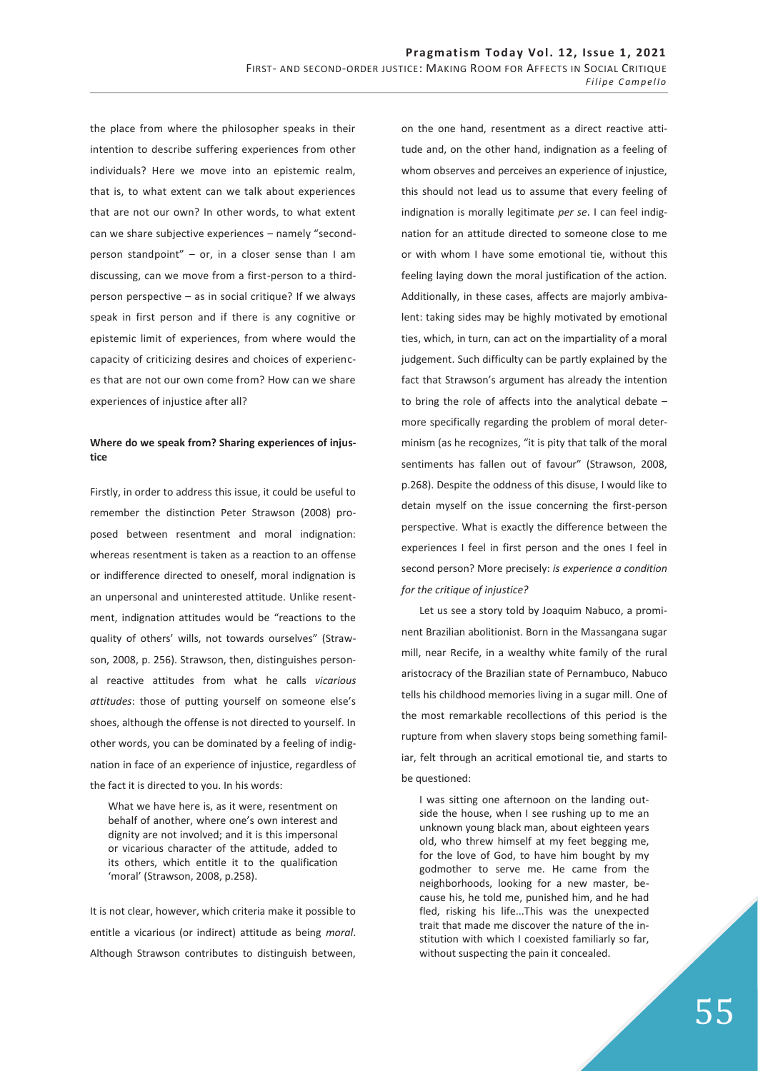the place from where the philosopher speaks in their intention to describe suffering experiences from other individuals? Here we move into an epistemic realm, that is, to what extent can we talk about experiences that are not our own? In other words, to what extent can we share subjective experiences – namely "secondperson standpoint" – or, in a closer sense than I am discussing, can we move from a first-person to a thirdperson perspective – as in social critique? If we always speak in first person and if there is any cognitive or epistemic limit of experiences, from where would the capacity of criticizing desires and choices of experiences that are not our own come from? How can we share experiences of injustice after all?

# **Where do we speak from? Sharing experiences of injustice**

Firstly, in order to address this issue, it could be useful to remember the distinction Peter Strawson (2008) proposed between resentment and moral indignation: whereas resentment is taken as a reaction to an offense or indifference directed to oneself, moral indignation is an unpersonal and uninterested attitude. Unlike resentment, indignation attitudes would be "reactions to the quality of others' wills, not towards ourselves" (Strawson, 2008, p. 256). Strawson, then, distinguishes personal reactive attitudes from what he calls *vicarious attitudes*: those of putting yourself on someone else's shoes, although the offense is not directed to yourself. In other words, you can be dominated by a feeling of indignation in face of an experience of injustice, regardless of the fact it is directed to you. In his words:

What we have here is, as it were, resentment on behalf of another, where one's own interest and dignity are not involved; and it is this impersonal or vicarious character of the attitude, added to its others, which entitle it to the qualification 'moral' (Strawson, 2008, p.258).

It is not clear, however, which criteria make it possible to entitle a vicarious (or indirect) attitude as being *moral*. Although Strawson contributes to distinguish between,

on the one hand, resentment as a direct reactive attitude and, on the other hand, indignation as a feeling of whom observes and perceives an experience of injustice, this should not lead us to assume that every feeling of indignation is morally legitimate *per se*. I can feel indignation for an attitude directed to someone close to me or with whom I have some emotional tie, without this feeling laying down the moral justification of the action. Additionally, in these cases, affects are majorly ambivalent: taking sides may be highly motivated by emotional ties, which, in turn, can act on the impartiality of a moral judgement. Such difficulty can be partly explained by the fact that Strawson's argument has already the intention to bring the role of affects into the analytical debate – more specifically regarding the problem of moral determinism (as he recognizes, "it is pity that talk of the moral sentiments has fallen out of favour" (Strawson, 2008, p.268). Despite the oddness of this disuse, I would like to detain myself on the issue concerning the first-person perspective. What is exactly the difference between the experiences I feel in first person and the ones I feel in second person? More precisely: *is experience a condition for the critique of injustice?*

Let us see a story told by Joaquim Nabuco, a prominent Brazilian abolitionist. Born in the Massangana sugar mill, near Recife, in a wealthy white family of the rural aristocracy of the Brazilian state of Pernambuco, Nabuco tells his childhood memories living in a sugar mill. One of the most remarkable recollections of this period is the rupture from when slavery stops being something familiar, felt through an acritical emotional tie, and starts to be questioned:

I was sitting one afternoon on the landing outside the house, when I see rushing up to me an unknown young black man, about eighteen years old, who threw himself at my feet begging me, for the love of God, to have him bought by my godmother to serve me. He came from the neighborhoods, looking for a new master, because his, he told me, punished him, and he had fled, risking his life...This was the unexpected trait that made me discover the nature of the institution with which I coexisted familiarly so far, without suspecting the pain it concealed.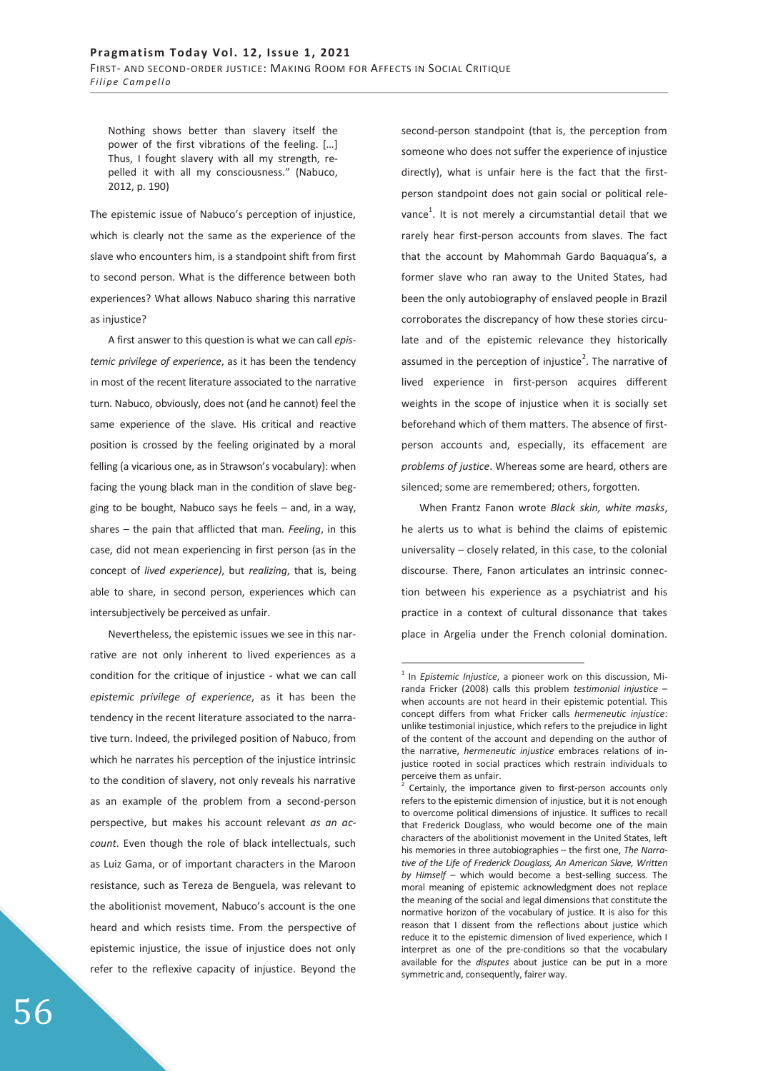Nothing shows better than slavery itself the power of the first vibrations of the feeling. […] Thus, I fought slavery with all my strength, repelled it with all my consciousness." (Nabuco, 2012, p. 190)

The epistemic issue of Nabuco's perception of injustice, which is clearly not the same as the experience of the slave who encounters him, is a standpoint shift from first to second person. What is the difference between both experiences? What allows Nabuco sharing this narrative as injustice?

A first answer to this question is what we can call *epistemic privilege of experience*, as it has been the tendency in most of the recent literature associated to the narrative turn. Nabuco, obviously, does not (and he cannot) feel the same experience of the slave. His critical and reactive position is crossed by the feeling originated by a moral felling (a vicarious one, as in Strawson's vocabulary): when facing the young black man in the condition of slave begging to be bought, Nabuco says he feels – and, in a way, shares – the pain that afflicted that man. *Feeling*, in this case, did not mean experiencing in first person (as in the concept of *lived experience)*, but *realizing*, that is, being able to share, in second person, experiences which can intersubjectively be perceived as unfair.

Nevertheless, the epistemic issues we see in this narrative are not only inherent to lived experiences as a condition for the critique of injustice - what we can call *epistemic privilege of experience*, as it has been the tendency in the recent literature associated to the narrative turn. Indeed, the privileged position of Nabuco, from which he narrates his perception of the injustice intrinsic to the condition of slavery, not only reveals his narrative as an example of the problem from a second-person perspective, but makes his account relevant *as an account*. Even though the role of black intellectuals, such as Luiz Gama, or of important characters in the Maroon resistance, such as Tereza de Benguela, was relevant to the abolitionist movement, Nabuco's account is the one heard and which resists time. From the perspective of epistemic injustice, the issue of injustice does not only refer to the reflexive capacity of injustice. Beyond the

second-person standpoint (that is, the perception from someone who does not suffer the experience of injustice directly), what is unfair here is the fact that the firstperson standpoint does not gain social or political relevance $^1$ . It is not merely a circumstantial detail that we rarely hear first-person accounts from slaves. The fact that the account by Mahommah Gardo Baquaqua's, a former slave who ran away to the United States, had been the only autobiography of enslaved people in Brazil corroborates the discrepancy of how these stories circulate and of the epistemic relevance they historically assumed in the perception of injustice<sup>2</sup>. The narrative of lived experience in first-person acquires different weights in the scope of injustice when it is socially set beforehand which of them matters. The absence of firstperson accounts and, especially, its effacement are *problems of justice*. Whereas some are heard, others are silenced; some are remembered; others, forgotten.

When Frantz Fanon wrote *Black skin, white masks*, he alerts us to what is behind the claims of epistemic universality – closely related, in this case, to the colonial discourse. There, Fanon articulates an intrinsic connection between his experience as a psychiatrist and his practice in a context of cultural dissonance that takes place in Argelia under the French colonial domination.

<sup>&</sup>lt;sup>1</sup> In *Epistemic Injustice*, a pioneer work on this discussion, Miranda Fricker (2008) calls this problem *testimonial injustice* – when accounts are not heard in their epistemic potential. This concept differs from what Fricker calls *hermeneutic injustice*: unlike testimonial injustice, which refers to the prejudice in light of the content of the account and depending on the author of the narrative, *hermeneutic injustice* embraces relations of injustice rooted in social practices which restrain individuals to perceive them as unfair.

<sup>2</sup> Certainly, the importance given to first-person accounts only refers to the epistemic dimension of injustice, but it is not enough to overcome political dimensions of injustice. It suffices to recall that Frederick Douglass, who would become one of the main characters of the abolitionist movement in the United States, left his memories in three autobiographies – the first one, *The Narrative of the Life of Frederick Douglass, An American Slave, Written by Himself –* which would become a best-selling success. The moral meaning of epistemic acknowledgment does not replace the meaning of the social and legal dimensions that constitute the normative horizon of the vocabulary of justice. It is also for this reason that I dissent from the reflections about justice which reduce it to the epistemic dimension of lived experience, which I interpret as one of the pre-conditions so that the vocabulary available for the *disputes* about justice can be put in a more symmetric and, consequently, fairer way.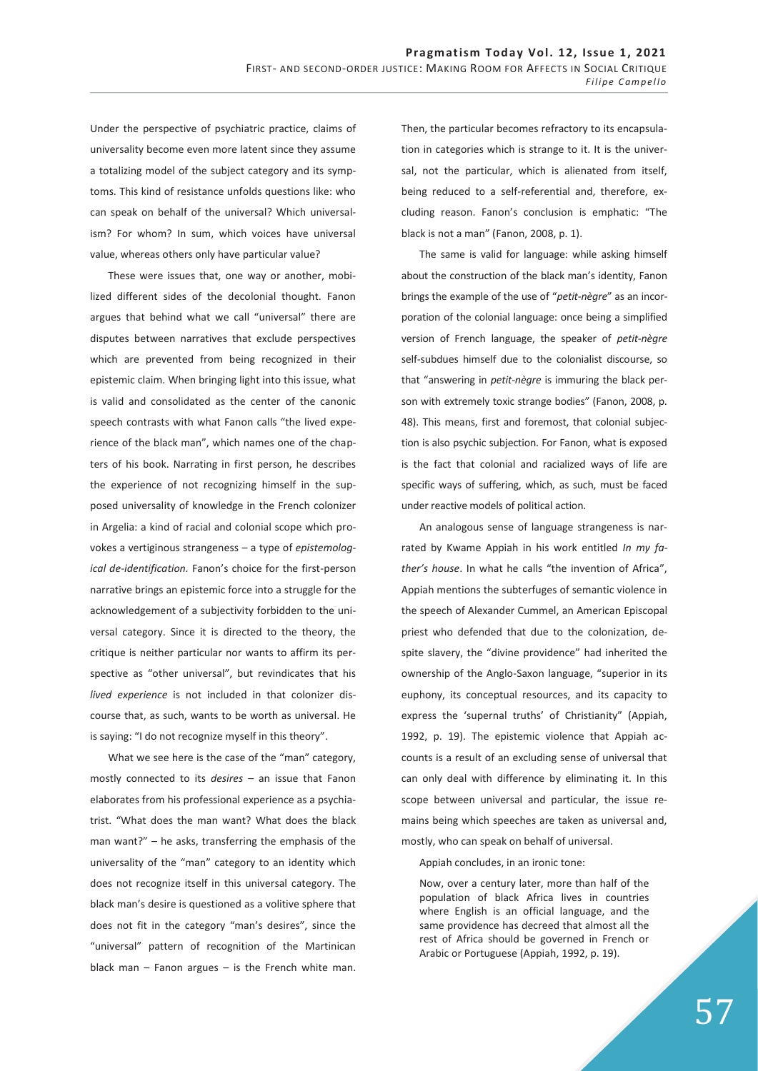Under the perspective of psychiatric practice, claims of universality become even more latent since they assume a totalizing model of the subject category and its symptoms. This kind of resistance unfolds questions like: who can speak on behalf of the universal? Which universalism? For whom? In sum, which voices have universal value, whereas others only have particular value?

These were issues that, one way or another, mobilized different sides of the decolonial thought. Fanon argues that behind what we call "universal" there are disputes between narratives that exclude perspectives which are prevented from being recognized in their epistemic claim. When bringing light into this issue, what is valid and consolidated as the center of the canonic speech contrasts with what Fanon calls "the lived experience of the black man", which names one of the chapters of his book. Narrating in first person, he describes the experience of not recognizing himself in the supposed universality of knowledge in the French colonizer in Argelia: a kind of racial and colonial scope which provokes a vertiginous strangeness – a type of *epistemological de-identification.* Fanon's choice for the first-person narrative brings an epistemic force into a struggle for the acknowledgement of a subjectivity forbidden to the universal category. Since it is directed to the theory, the critique is neither particular nor wants to affirm its perspective as "other universal", but revindicates that his *lived experience* is not included in that colonizer discourse that, as such, wants to be worth as universal. He is saying: "I do not recognize myself in this theory".

What we see here is the case of the "man" category, mostly connected to its *desires* – an issue that Fanon elaborates from his professional experience as a psychiatrist. "What does the man want? What does the black man want?" – he asks, transferring the emphasis of the universality of the "man" category to an identity which does not recognize itself in this universal category. The black man's desire is questioned as a volitive sphere that does not fit in the category "man's desires", since the "universal" pattern of recognition of the Martinican black man  $-$  Fanon argues  $-$  is the French white man. Then, the particular becomes refractory to its encapsulation in categories which is strange to it. It is the universal, not the particular, which is alienated from itself, being reduced to a self-referential and, therefore, excluding reason. Fanon's conclusion is emphatic: "The black is not a man" (Fanon, 2008, p. 1).

The same is valid for language: while asking himself about the construction of the black man's identity, Fanon brings the example of the use of "*petit-nègre*" as an incorporation of the colonial language: once being a simplified version of French language, the speaker of *petit-nègre* self-subdues himself due to the colonialist discourse, so that "answering in *petit-nègre* is immuring the black person with extremely toxic strange bodies" (Fanon, 2008, p. 48). This means, first and foremost, that colonial subjection is also psychic subjection. For Fanon, what is exposed is the fact that colonial and racialized ways of life are specific ways of suffering, which, as such, must be faced under reactive models of political action.

An analogous sense of language strangeness is narrated by Kwame Appiah in his work entitled *In my father's house*. In what he calls "the invention of Africa", Appiah mentions the subterfuges of semantic violence in the speech of Alexander Cummel, an American Episcopal priest who defended that due to the colonization, despite slavery, the "divine providence" had inherited the ownership of the Anglo-Saxon language, "superior in its euphony, its conceptual resources, and its capacity to express the 'supernal truths' of Christianity" (Appiah, 1992, p. 19). The epistemic violence that Appiah accounts is a result of an excluding sense of universal that can only deal with difference by eliminating it. In this scope between universal and particular, the issue remains being which speeches are taken as universal and, mostly, who can speak on behalf of universal.

Appiah concludes, in an ironic tone:

Now, over a century later, more than half of the population of black Africa lives in countries where English is an official language, and the same providence has decreed that almost all the rest of Africa should be governed in French or Arabic or Portuguese (Appiah, 1992, p. 19).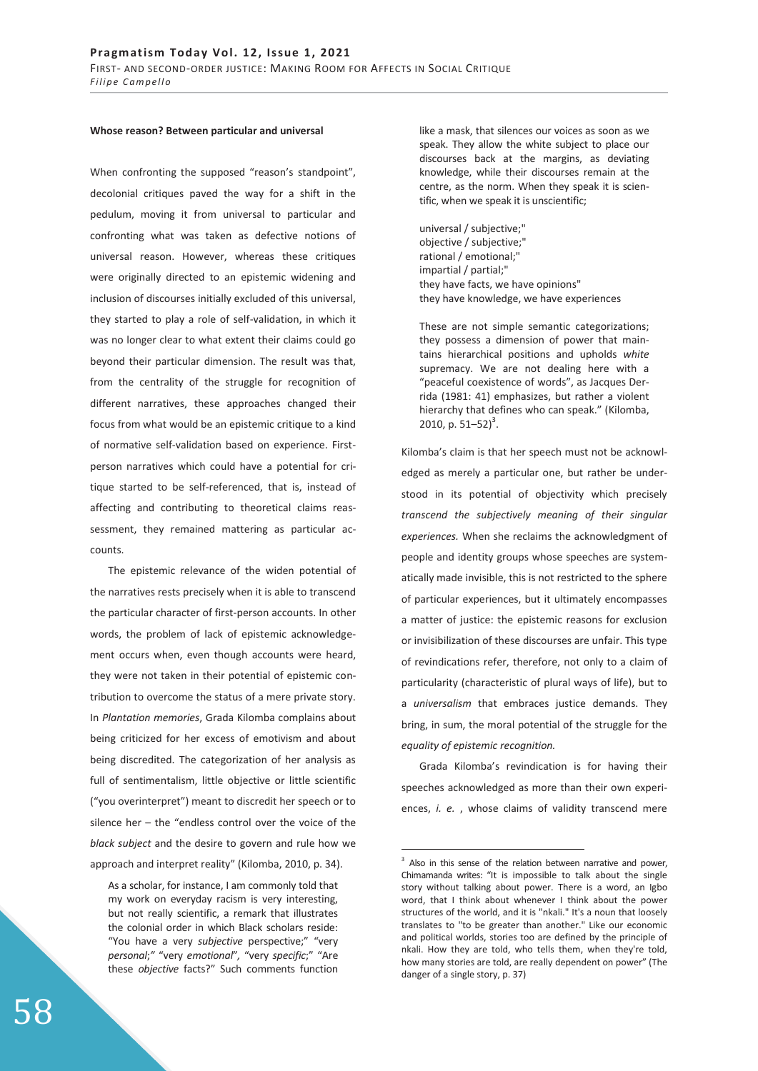#### **Whose reason? Between particular and universal**

When confronting the supposed "reason's standpoint", decolonial critiques paved the way for a shift in the pedulum, moving it from universal to particular and confronting what was taken as defective notions of universal reason. However, whereas these critiques were originally directed to an epistemic widening and inclusion of discourses initially excluded of this universal, they started to play a role of self-validation, in which it was no longer clear to what extent their claims could go beyond their particular dimension. The result was that, from the centrality of the struggle for recognition of different narratives, these approaches changed their focus from what would be an epistemic critique to a kind of normative self-validation based on experience. Firstperson narratives which could have a potential for critique started to be self-referenced, that is, instead of affecting and contributing to theoretical claims reassessment, they remained mattering as particular accounts.

The epistemic relevance of the widen potential of the narratives rests precisely when it is able to transcend the particular character of first-person accounts. In other words, the problem of lack of epistemic acknowledgement occurs when, even though accounts were heard, they were not taken in their potential of epistemic contribution to overcome the status of a mere private story. In *Plantation memories*, Grada Kilomba complains about being criticized for her excess of emotivism and about being discredited. The categorization of her analysis as full of sentimentalism, little objective or little scientific ("you overinterpret") meant to discredit her speech or to silence her – the "endless control over the voice of the *black subject* and the desire to govern and rule how we approach and interpret reality" (Kilomba, 2010, p. 34).

As a scholar, for instance, I am commonly told that my work on everyday racism is very interesting, but not really scientific, a remark that illustrates the colonial order in which Black scholars reside: "You have a very *subjective* perspective;" "very *personal*;*"* "very *emotional*"*,* "very *specific*;" "Are these *objective* facts?" Such comments function like a mask, that silences our voices as soon as we speak. They allow the white subject to place our discourses back at the margins, as deviating knowledge, while their discourses remain at the centre, as the norm. When they speak it is scientific, when we speak it is unscientific;

universal / subjective;" objective / subjective;" rational / emotional;" impartial / partial;" they have facts, we have opinions" they have knowledge, we have experiences

These are not simple semantic categorizations; they possess a dimension of power that maintains hierarchical positions and upholds *white* supremacy. We are not dealing here with a "peaceful coexistence of words", as Jacques Derrida (1981: 41) emphasizes, but rather a violent hierarchy that defines who can speak." (Kilomba, 2010, p.  $51-52$ <sup>3</sup>.

Kilomba's claim is that her speech must not be acknowledged as merely a particular one, but rather be understood in its potential of objectivity which precisely *transcend the subjectively meaning of their singular experiences.* When she reclaims the acknowledgment of people and identity groups whose speeches are systematically made invisible, this is not restricted to the sphere of particular experiences, but it ultimately encompasses a matter of justice: the epistemic reasons for exclusion or invisibilization of these discourses are unfair. This type of revindications refer, therefore, not only to a claim of particularity (characteristic of plural ways of life), but to a *universalism* that embraces justice demands. They bring, in sum, the moral potential of the struggle for the *equality of epistemic recognition.* 

Grada Kilomba's revindication is for having their speeches acknowledged as more than their own experiences, *i. e.* , whose claims of validity transcend mere

 $\overline{a}$ 

<sup>&</sup>lt;sup>3</sup> Also in this sense of the relation between narrative and power, Chimamanda writes: "It is impossible to talk about the single story without talking about power. There is a word, an Igbo word, that I think about whenever I think about the power structures of the world, and it is "nkali." It's a noun that loosely translates to "to be greater than another." Like our economic and political worlds, stories too are defined by the principle of nkali. How they are told, who tells them, when they're told, how many stories are told, are really dependent on power" (The danger of a single story, p. 37)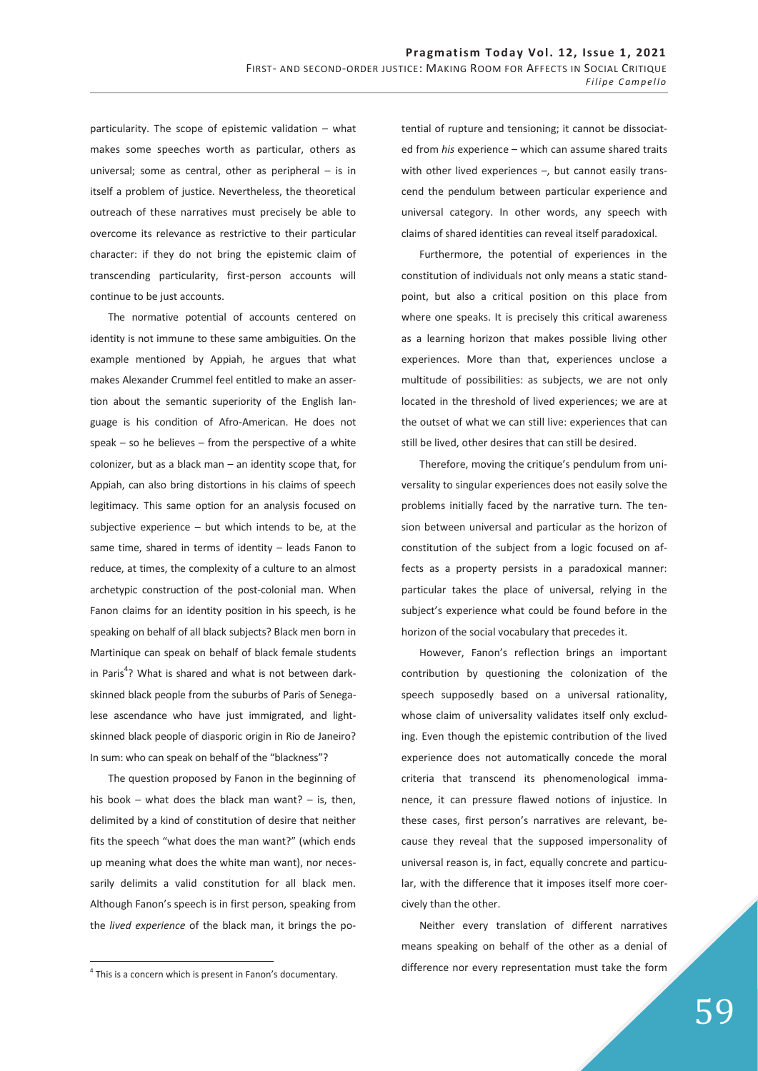particularity. The scope of epistemic validation – what makes some speeches worth as particular, others as universal; some as central, other as peripheral – is in itself a problem of justice. Nevertheless, the theoretical outreach of these narratives must precisely be able to overcome its relevance as restrictive to their particular character: if they do not bring the epistemic claim of transcending particularity, first-person accounts will continue to be just accounts.

The normative potential of accounts centered on identity is not immune to these same ambiguities. On the example mentioned by Appiah, he argues that what makes Alexander Crummel feel entitled to make an assertion about the semantic superiority of the English language is his condition of Afro-American. He does not  $speak - so$  he believes – from the perspective of a white colonizer, but as a black man – an identity scope that, for Appiah, can also bring distortions in his claims of speech legitimacy. This same option for an analysis focused on subjective experience  $-$  but which intends to be, at the same time, shared in terms of identity – leads Fanon to reduce, at times, the complexity of a culture to an almost archetypic construction of the post-colonial man. When Fanon claims for an identity position in his speech, is he speaking on behalf of all black subjects? Black men born in Martinique can speak on behalf of black female students in Paris<sup>4</sup>? What is shared and what is not between darkskinned black people from the suburbs of Paris of Senegalese ascendance who have just immigrated, and lightskinned black people of diasporic origin in Rio de Janeiro? In sum: who can speak on behalf of the "blackness"?

The question proposed by Fanon in the beginning of his book – what does the black man want? – is, then, delimited by a kind of constitution of desire that neither fits the speech "what does the man want?" (which ends up meaning what does the white man want), nor necessarily delimits a valid constitution for all black men. Although Fanon's speech is in first person, speaking from the *lived experience* of the black man, it brings the po-

-

tential of rupture and tensioning; it cannot be dissociated from *his* experience – which can assume shared traits with other lived experiences -, but cannot easily transcend the pendulum between particular experience and universal category. In other words, any speech with claims of shared identities can reveal itself paradoxical.

Furthermore, the potential of experiences in the constitution of individuals not only means a static standpoint, but also a critical position on this place from where one speaks. It is precisely this critical awareness as a learning horizon that makes possible living other experiences. More than that, experiences unclose a multitude of possibilities: as subjects, we are not only located in the threshold of lived experiences; we are at the outset of what we can still live: experiences that can still be lived, other desires that can still be desired.

Therefore, moving the critique's pendulum from universality to singular experiences does not easily solve the problems initially faced by the narrative turn. The tension between universal and particular as the horizon of constitution of the subject from a logic focused on affects as a property persists in a paradoxical manner: particular takes the place of universal, relying in the subject's experience what could be found before in the horizon of the social vocabulary that precedes it.

However, Fanon's reflection brings an important contribution by questioning the colonization of the speech supposedly based on a universal rationality, whose claim of universality validates itself only excluding. Even though the epistemic contribution of the lived experience does not automatically concede the moral criteria that transcend its phenomenological immanence, it can pressure flawed notions of injustice. In these cases, first person's narratives are relevant, because they reveal that the supposed impersonality of universal reason is, in fact, equally concrete and particular, with the difference that it imposes itself more coercively than the other.

Neither every translation of different narratives means speaking on behalf of the other as a denial of difference nor every representation must take the form

<sup>&</sup>lt;sup>4</sup> This is a concern which is present in Fanon's documentary.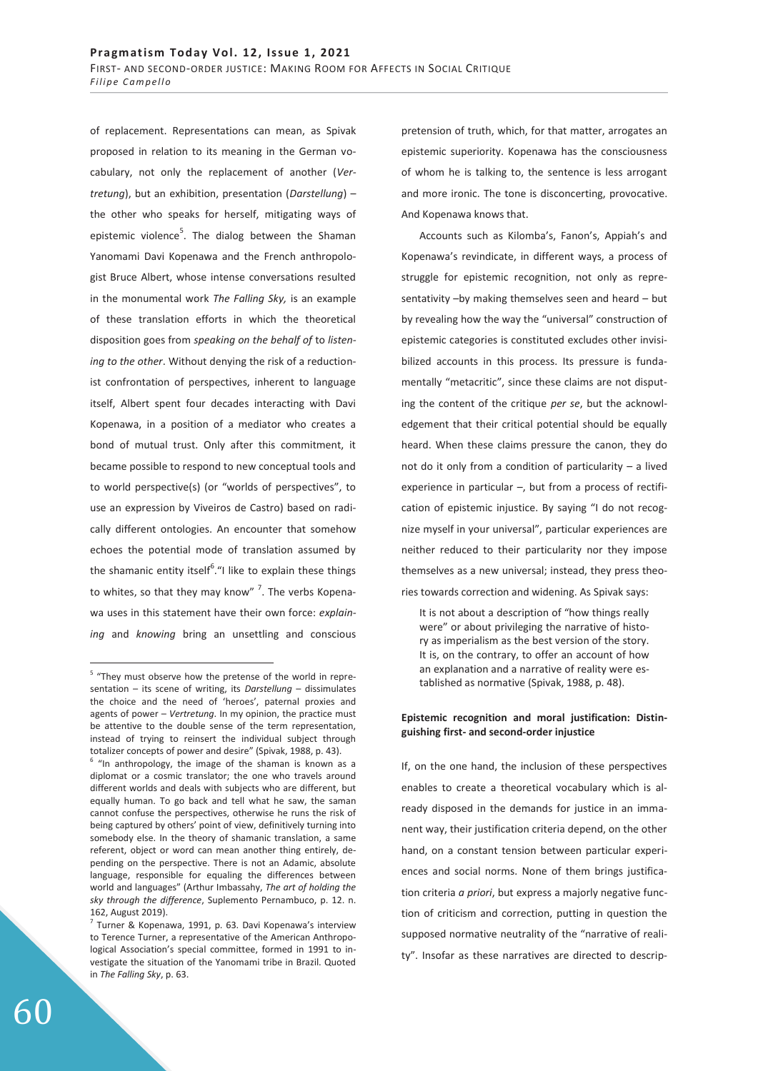of replacement. Representations can mean, as Spivak proposed in relation to its meaning in the German vocabulary, not only the replacement of another (*Vertretung*), but an exhibition, presentation (*Darstellung*) – the other who speaks for herself, mitigating ways of epistemic violence<sup>5</sup>. The dialog between the Shaman Yanomami Davi Kopenawa and the French anthropologist Bruce Albert, whose intense conversations resulted in the monumental work *The Falling Sky,* is an example of these translation efforts in which the theoretical disposition goes from *speaking on the behalf of* to *listening to the other*. Without denying the risk of a reductionist confrontation of perspectives, inherent to language itself, Albert spent four decades interacting with Davi Kopenawa, in a position of a mediator who creates a bond of mutual trust. Only after this commitment, it became possible to respond to new conceptual tools and to world perspective(s) (or "worlds of perspectives", to use an expression by Viveiros de Castro) based on radically different ontologies. An encounter that somehow echoes the potential mode of translation assumed by the shamanic entity itself<sup>6</sup>."I like to explain these things to whites, so that they may know" <sup>7</sup>. The verbs Kopenawa uses in this statement have their own force: *explaining* and *knowing* bring an unsettling and conscious

pretension of truth, which, for that matter, arrogates an epistemic superiority. Kopenawa has the consciousness of whom he is talking to, the sentence is less arrogant and more ironic. The tone is disconcerting, provocative. And Kopenawa knows that.

Accounts such as Kilomba's, Fanon's, Appiah's and Kopenawa's revindicate, in different ways, a process of struggle for epistemic recognition, not only as representativity –by making themselves seen and heard – but by revealing how the way the "universal" construction of epistemic categories is constituted excludes other invisibilized accounts in this process. Its pressure is fundamentally "metacritic", since these claims are not disputing the content of the critique *per se*, but the acknowledgement that their critical potential should be equally heard. When these claims pressure the canon, they do not do it only from a condition of particularity – a lived experience in particular  $-$ , but from a process of rectification of epistemic injustice. By saying "I do not recognize myself in your universal", particular experiences are neither reduced to their particularity nor they impose themselves as a new universal; instead, they press theories towards correction and widening. As Spivak says:

It is not about a description of "how things really were" or about privileging the narrative of history as imperialism as the best version of the story. It is, on the contrary, to offer an account of how an explanation and a narrative of reality were established as normative (Spivak, 1988, p. 48).

## **Epistemic recognition and moral justification: Distinguishing first- and second-order injustice**

If, on the one hand, the inclusion of these perspectives enables to create a theoretical vocabulary which is already disposed in the demands for justice in an immanent way, their justification criteria depend, on the other hand, on a constant tension between particular experiences and social norms. None of them brings justification criteria *a priori*, but express a majorly negative function of criticism and correction, putting in question the supposed normative neutrality of the "narrative of reality". Insofar as these narratives are directed to descrip-

<sup>&</sup>lt;sup>5</sup> "They must observe how the pretense of the world in representation – its scene of writing, its *Darstellung* – dissimulates the choice and the need of 'heroes', paternal proxies and agents of power – *Vertretung*. In my opinion, the practice must be attentive to the double sense of the term representation, instead of trying to reinsert the individual subject through totalizer concepts of power and desire" (Spivak, 1988, p. 43).

 $6$  "In anthropology, the image of the shaman is known as a diplomat or a cosmic translator; the one who travels around different worlds and deals with subjects who are different, but equally human. To go back and tell what he saw, the saman cannot confuse the perspectives, otherwise he runs the risk of being captured by others' point of view, definitively turning into somebody else. In the theory of shamanic translation, a same referent, object or word can mean another thing entirely, depending on the perspective. There is not an Adamic, absolute language, responsible for equaling the differences between world and languages" (Arthur Imbassahy, *The art of holding the sky through the difference*, Suplemento Pernambuco, p. 12. n. 162, August 2019).

 $7$  Turner & Kopenawa, 1991, p. 63. Davi Kopenawa's interview to Terence Turner, a representative of the American Anthropological Association's special committee, formed in 1991 to investigate the situation of the Yanomami tribe in Brazil. Quoted in *The Falling Sky*, p. 63.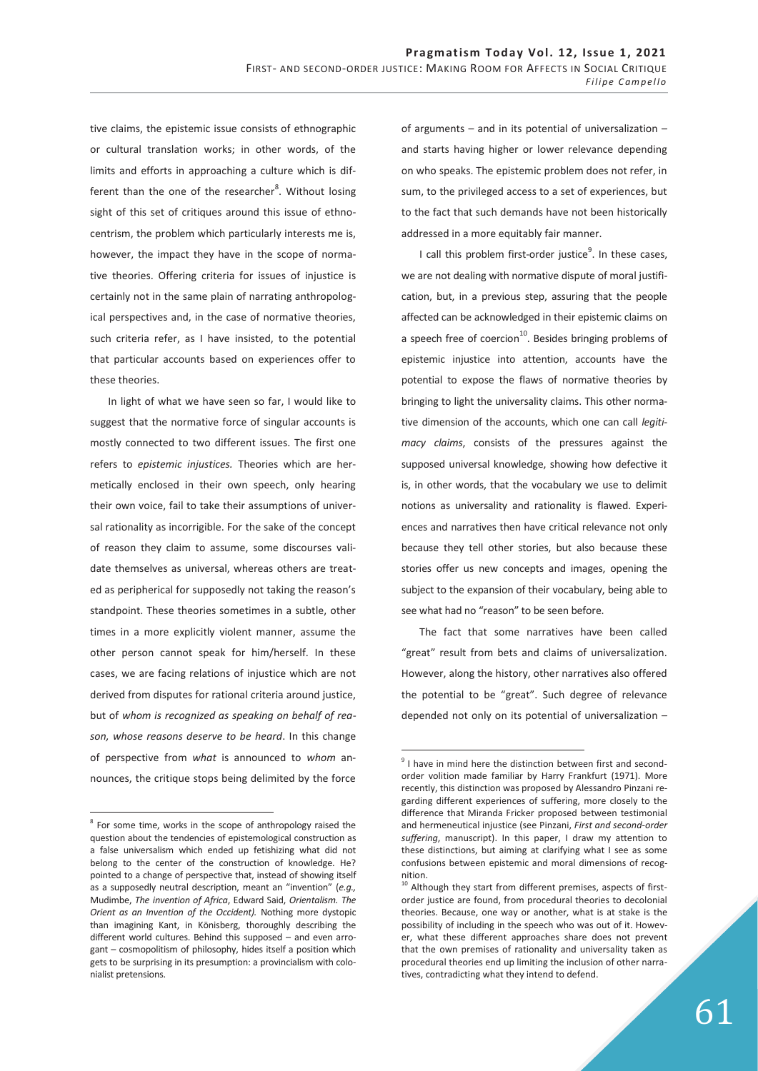tive claims, the epistemic issue consists of ethnographic or cultural translation works; in other words, of the limits and efforts in approaching a culture which is different than the one of the researcher<sup>8</sup>. Without losing sight of this set of critiques around this issue of ethnocentrism, the problem which particularly interests me is, however, the impact they have in the scope of normative theories. Offering criteria for issues of injustice is certainly not in the same plain of narrating anthropological perspectives and, in the case of normative theories, such criteria refer, as I have insisted, to the potential that particular accounts based on experiences offer to these theories.

In light of what we have seen so far, I would like to suggest that the normative force of singular accounts is mostly connected to two different issues. The first one refers to *epistemic injustices.* Theories which are hermetically enclosed in their own speech, only hearing their own voice, fail to take their assumptions of universal rationality as incorrigible. For the sake of the concept of reason they claim to assume, some discourses validate themselves as universal, whereas others are treated as peripherical for supposedly not taking the reason's standpoint. These theories sometimes in a subtle, other times in a more explicitly violent manner, assume the other person cannot speak for him/herself. In these cases, we are facing relations of injustice which are not derived from disputes for rational criteria around justice, but of *whom is recognized as speaking on behalf of reason, whose reasons deserve to be heard*. In this change of perspective from *what* is announced to *whom* announces, the critique stops being delimited by the force

-

of arguments – and in its potential of universalization – and starts having higher or lower relevance depending on who speaks. The epistemic problem does not refer, in sum, to the privileged access to a set of experiences, but to the fact that such demands have not been historically addressed in a more equitably fair manner.

I call this problem first-order justice<sup>9</sup>. In these cases, we are not dealing with normative dispute of moral justification, but, in a previous step, assuring that the people affected can be acknowledged in their epistemic claims on a speech free of coercion<sup>10</sup>. Besides bringing problems of epistemic injustice into attention, accounts have the potential to expose the flaws of normative theories by bringing to light the universality claims. This other normative dimension of the accounts, which one can call *legitimacy claims*, consists of the pressures against the supposed universal knowledge, showing how defective it is, in other words, that the vocabulary we use to delimit notions as universality and rationality is flawed. Experiences and narratives then have critical relevance not only because they tell other stories, but also because these stories offer us new concepts and images, opening the subject to the expansion of their vocabulary, being able to see what had no "reason" to be seen before.

The fact that some narratives have been called "great" result from bets and claims of universalization. However, along the history, other narratives also offered the potential to be "great". Such degree of relevance depended not only on its potential of universalization –

<sup>&</sup>lt;sup>8</sup> For some time, works in the scope of anthropology raised the question about the tendencies of epistemological construction as a false universalism which ended up fetishizing what did not belong to the center of the construction of knowledge. He? pointed to a change of perspective that, instead of showing itself as a supposedly neutral description, meant an "invention" (*e.g.,* Mudimbe, *The invention of Africa*, Edward Said, *Orientalism. The Orient as an Invention of the Occident).* Nothing more dystopic than imagining Kant, in Könisberg, thoroughly describing the different world cultures. Behind this supposed – and even arrogant – cosmopolitism of philosophy, hides itself a position which gets to be surprising in its presumption: a provincialism with colonialist pretensions.

<sup>&</sup>lt;sup>9</sup> I have in mind here the distinction between first and secondorder volition made familiar by Harry Frankfurt (1971). More recently, this distinction was proposed by Alessandro Pinzani regarding different experiences of suffering, more closely to the difference that Miranda Fricker proposed between testimonial and hermeneutical injustice (see Pinzani, *First and second-order suffering*, manuscript). In this paper, I draw my attention to these distinctions, but aiming at clarifying what I see as some confusions between epistemic and moral dimensions of recognition.

<sup>&</sup>lt;sup>10</sup> Although they start from different premises, aspects of firstorder justice are found, from procedural theories to decolonial theories. Because, one way or another, what is at stake is the possibility of including in the speech who was out of it. However, what these different approaches share does not prevent that the own premises of rationality and universality taken as procedural theories end up limiting the inclusion of other narratives, contradicting what they intend to defend.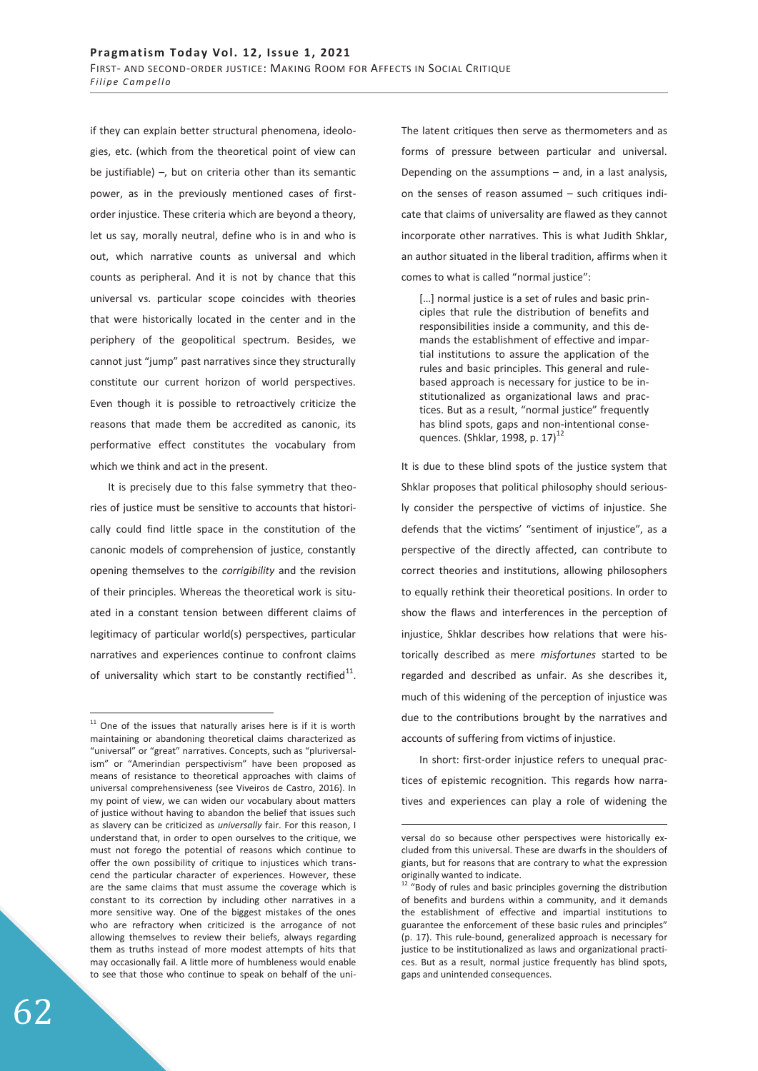if they can explain better structural phenomena, ideologies, etc. (which from the theoretical point of view can be justifiable) –, but on criteria other than its semantic power, as in the previously mentioned cases of firstorder injustice. These criteria which are beyond a theory, let us say, morally neutral, define who is in and who is out, which narrative counts as universal and which counts as peripheral. And it is not by chance that this universal vs. particular scope coincides with theories that were historically located in the center and in the periphery of the geopolitical spectrum. Besides, we cannot just "jump" past narratives since they structurally constitute our current horizon of world perspectives. Even though it is possible to retroactively criticize the reasons that made them be accredited as canonic, its performative effect constitutes the vocabulary from which we think and act in the present.

It is precisely due to this false symmetry that theories of justice must be sensitive to accounts that historically could find little space in the constitution of the canonic models of comprehension of justice, constantly opening themselves to the *corrigibility* and the revision of their principles. Whereas the theoretical work is situated in a constant tension between different claims of legitimacy of particular world(s) perspectives, particular narratives and experiences continue to confront claims of universality which start to be constantly rectified $^{11}$ . The latent critiques then serve as thermometers and as forms of pressure between particular and universal. Depending on the assumptions – and, in a last analysis, on the senses of reason assumed – such critiques indicate that claims of universality are flawed as they cannot incorporate other narratives. This is what Judith Shklar, an author situated in the liberal tradition, affirms when it comes to what is called "normal justice":

[...] normal justice is a set of rules and basic principles that rule the distribution of benefits and responsibilities inside a community, and this demands the establishment of effective and impartial institutions to assure the application of the rules and basic principles. This general and rulebased approach is necessary for justice to be institutionalized as organizational laws and practices. But as a result, "normal justice" frequently has blind spots, gaps and non-intentional consequences. (Shklar, 1998, p. 17) $^{12}$ 

It is due to these blind spots of the justice system that Shklar proposes that political philosophy should seriously consider the perspective of victims of injustice. She defends that the victims' "sentiment of injustice", as a perspective of the directly affected, can contribute to correct theories and institutions, allowing philosophers to equally rethink their theoretical positions. In order to show the flaws and interferences in the perception of injustice, Shklar describes how relations that were historically described as mere *misfortunes* started to be regarded and described as unfair. As she describes it, much of this widening of the perception of injustice was due to the contributions brought by the narratives and accounts of suffering from victims of injustice.

In short: first-order injustice refers to unequal practices of epistemic recognition. This regards how narratives and experiences can play a role of widening the

-

 $11$  One of the issues that naturally arises here is if it is worth maintaining or abandoning theoretical claims characterized as "universal" or "great" narratives. Concepts, such as "pluriversalism" or "Amerindian perspectivism" have been proposed as means of resistance to theoretical approaches with claims of universal comprehensiveness (see Viveiros de Castro, 2016). In my point of view, we can widen our vocabulary about matters of justice without having to abandon the belief that issues such as slavery can be criticized as *universally* fair. For this reason, I understand that, in order to open ourselves to the critique, we must not forego the potential of reasons which continue to offer the own possibility of critique to injustices which transcend the particular character of experiences. However, these are the same claims that must assume the coverage which is constant to its correction by including other narratives in a more sensitive way. One of the biggest mistakes of the ones who are refractory when criticized is the arrogance of not allowing themselves to review their beliefs, always regarding them as truths instead of more modest attempts of hits that may occasionally fail. A little more of humbleness would enable to see that those who continue to speak on behalf of the uni-

versal do so because other perspectives were historically excluded from this universal. These are dwarfs in the shoulders of giants, but for reasons that are contrary to what the expression originally wanted to indicate.

<sup>&</sup>lt;sup>12</sup> "Body of rules and basic principles governing the distribution of benefits and burdens within a community, and it demands the establishment of effective and impartial institutions to guarantee the enforcement of these basic rules and principles" (p. 17). This rule-bound, generalized approach is necessary for justice to be institutionalized as laws and organizational practices. But as a result, normal justice frequently has blind spots, gaps and unintended consequences.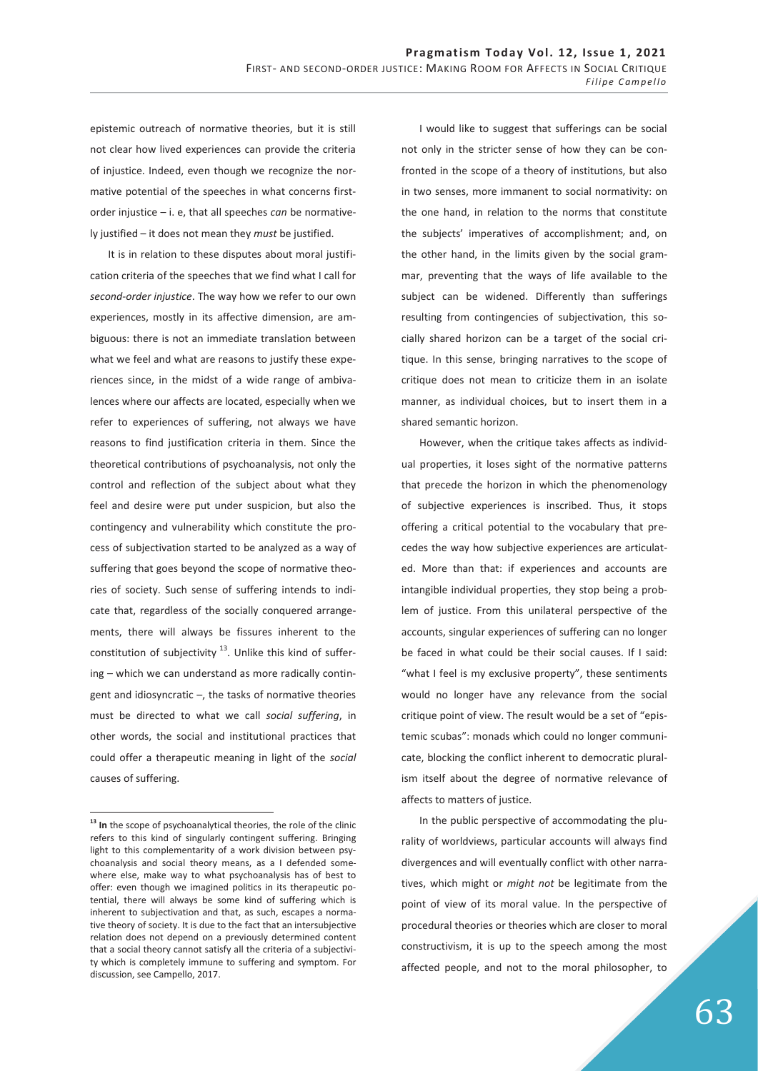epistemic outreach of normative theories, but it is still not clear how lived experiences can provide the criteria of injustice. Indeed, even though we recognize the normative potential of the speeches in what concerns firstorder injustice – i. e, that all speeches *can* be normatively justified – it does not mean they *must* be justified.

It is in relation to these disputes about moral justification criteria of the speeches that we find what I call for *second-order injustice*. The way how we refer to our own experiences, mostly in its affective dimension, are ambiguous: there is not an immediate translation between what we feel and what are reasons to justify these experiences since, in the midst of a wide range of ambivalences where our affects are located, especially when we refer to experiences of suffering, not always we have reasons to find justification criteria in them. Since the theoretical contributions of psychoanalysis, not only the control and reflection of the subject about what they feel and desire were put under suspicion, but also the contingency and vulnerability which constitute the process of subjectivation started to be analyzed as a way of suffering that goes beyond the scope of normative theories of society. Such sense of suffering intends to indicate that, regardless of the socially conquered arrangements, there will always be fissures inherent to the constitution of subjectivity  $13$ . Unlike this kind of suffering – which we can understand as more radically contingent and idiosyncratic –, the tasks of normative theories must be directed to what we call *social suffering*, in other words, the social and institutional practices that could offer a therapeutic meaning in light of the *social*  causes of suffering.

-

I would like to suggest that sufferings can be social not only in the stricter sense of how they can be confronted in the scope of a theory of institutions, but also in two senses, more immanent to social normativity: on the one hand, in relation to the norms that constitute the subjects' imperatives of accomplishment; and, on the other hand, in the limits given by the social grammar, preventing that the ways of life available to the subject can be widened. Differently than sufferings resulting from contingencies of subjectivation, this socially shared horizon can be a target of the social critique. In this sense, bringing narratives to the scope of critique does not mean to criticize them in an isolate manner, as individual choices, but to insert them in a shared semantic horizon.

However, when the critique takes affects as individual properties, it loses sight of the normative patterns that precede the horizon in which the phenomenology of subjective experiences is inscribed. Thus, it stops offering a critical potential to the vocabulary that precedes the way how subjective experiences are articulated. More than that: if experiences and accounts are intangible individual properties, they stop being a problem of justice. From this unilateral perspective of the accounts, singular experiences of suffering can no longer be faced in what could be their social causes. If I said: "what I feel is my exclusive property", these sentiments would no longer have any relevance from the social critique point of view. The result would be a set of "epistemic scubas": monads which could no longer communicate, blocking the conflict inherent to democratic pluralism itself about the degree of normative relevance of affects to matters of justice.

In the public perspective of accommodating the plurality of worldviews, particular accounts will always find divergences and will eventually conflict with other narratives, which might or *might not* be legitimate from the point of view of its moral value. In the perspective of procedural theories or theories which are closer to moral constructivism, it is up to the speech among the most affected people, and not to the moral philosopher, to

**<sup>13</sup> In** the scope of psychoanalytical theories, the role of the clinic refers to this kind of singularly contingent suffering. Bringing light to this complementarity of a work division between psychoanalysis and social theory means, as a I defended somewhere else, make way to what psychoanalysis has of best to offer: even though we imagined politics in its therapeutic potential, there will always be some kind of suffering which is inherent to subjectivation and that, as such, escapes a normative theory of society. It is due to the fact that an intersubjective relation does not depend on a previously determined content that a social theory cannot satisfy all the criteria of a subjectivity which is completely immune to suffering and symptom. For discussion, see Campello, 2017.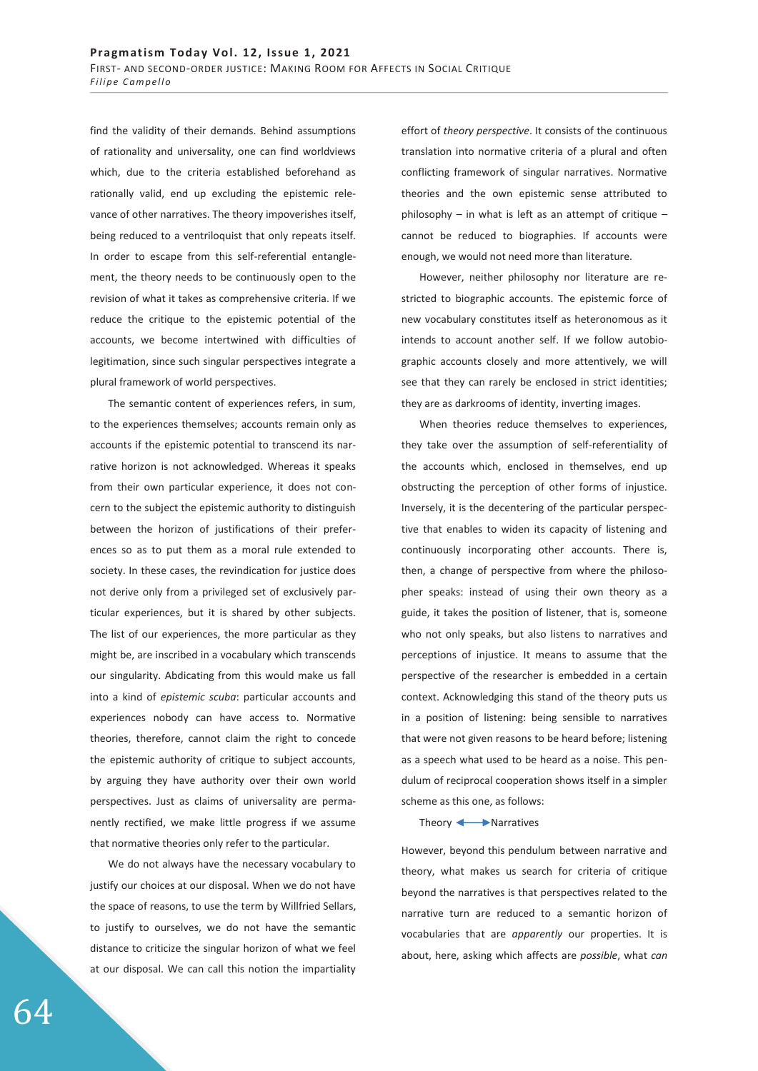find the validity of their demands. Behind assumptions of rationality and universality, one can find worldviews which, due to the criteria established beforehand as rationally valid, end up excluding the epistemic relevance of other narratives. The theory impoverishes itself, being reduced to a ventriloquist that only repeats itself. In order to escape from this self-referential entanglement, the theory needs to be continuously open to the revision of what it takes as comprehensive criteria. If we reduce the critique to the epistemic potential of the accounts, we become intertwined with difficulties of legitimation, since such singular perspectives integrate a plural framework of world perspectives.

The semantic content of experiences refers, in sum, to the experiences themselves; accounts remain only as accounts if the epistemic potential to transcend its narrative horizon is not acknowledged. Whereas it speaks from their own particular experience, it does not concern to the subject the epistemic authority to distinguish between the horizon of justifications of their preferences so as to put them as a moral rule extended to society. In these cases, the revindication for justice does not derive only from a privileged set of exclusively particular experiences, but it is shared by other subjects. The list of our experiences, the more particular as they might be, are inscribed in a vocabulary which transcends our singularity. Abdicating from this would make us fall into a kind of *epistemic scuba*: particular accounts and experiences nobody can have access to. Normative theories, therefore, cannot claim the right to concede the epistemic authority of critique to subject accounts, by arguing they have authority over their own world perspectives. Just as claims of universality are permanently rectified, we make little progress if we assume that normative theories only refer to the particular.

We do not always have the necessary vocabulary to justify our choices at our disposal. When we do not have the space of reasons, to use the term by Willfried Sellars, to justify to ourselves, we do not have the semantic distance to criticize the singular horizon of what we feel at our disposal. We can call this notion the impartiality effort of *theory perspective*. It consists of the continuous translation into normative criteria of a plural and often conflicting framework of singular narratives. Normative theories and the own epistemic sense attributed to philosophy – in what is left as an attempt of critique – cannot be reduced to biographies. If accounts were enough, we would not need more than literature.

However, neither philosophy nor literature are restricted to biographic accounts. The epistemic force of new vocabulary constitutes itself as heteronomous as it intends to account another self. If we follow autobiographic accounts closely and more attentively, we will see that they can rarely be enclosed in strict identities; they are as darkrooms of identity, inverting images.

When theories reduce themselves to experiences, they take over the assumption of self-referentiality of the accounts which, enclosed in themselves, end up obstructing the perception of other forms of injustice. Inversely, it is the decentering of the particular perspective that enables to widen its capacity of listening and continuously incorporating other accounts. There is, then, a change of perspective from where the philosopher speaks: instead of using their own theory as a guide, it takes the position of listener, that is, someone who not only speaks, but also listens to narratives and perceptions of injustice. It means to assume that the perspective of the researcher is embedded in a certain context. Acknowledging this stand of the theory puts us in a position of listening: being sensible to narratives that were not given reasons to be heard before; listening as a speech what used to be heard as a noise. This pendulum of reciprocal cooperation shows itself in a simpler scheme as this one, as follows:

Theory **Narratives** 

However, beyond this pendulum between narrative and theory, what makes us search for criteria of critique beyond the narratives is that perspectives related to the narrative turn are reduced to a semantic horizon of vocabularies that are *apparently* our properties. It is about, here, asking which affects are *possible*, what *can* 

64